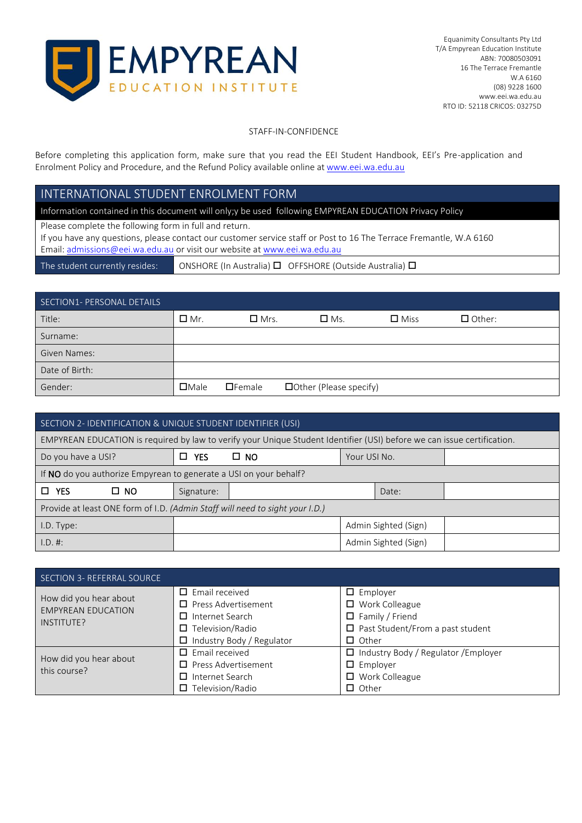

### STAFF-IN-CONFIDENCE

Before completing this application form, make sure that you read the EEI Student Handbook, EEI's Pre-application and Enrolment Policy and Procedure, and the Refund Policy available online a[t www.eei.wa.edu.au](http://www.eei.wa.edu.au/)

# INTERNATIONAL STUDENT ENROLMENT FORM

Information contained in this document will only;y be used following EMPYREAN EDUCATION Privacy Policy

Please complete the following form in full and return.

If you have any questions, please contact our customer service staff or Post to 16 The Terrace Fremantle, W.A 6160 Email[: admissions@eei.wa.edu.au](mailto:admissions@eei.wa.edu.au) or visit our website a[t www.eei.wa.edu.au](http://www.eei.wa.edu.au/)

The student currently resides: ONSHORE (In Australia)  $\Box$  OFFSHORE (Outside Australia)  $\Box$ 

## SECTION1- PERSONAL DETAILS

| Title:              | $\Box$ Mr.  | $\Box$ Mrs.   | $\Box$ Ms.               | $\square$ Miss | $\Box$ Other: |
|---------------------|-------------|---------------|--------------------------|----------------|---------------|
| Surname:            |             |               |                          |                |               |
| <b>Given Names:</b> |             |               |                          |                |               |
| Date of Birth:      |             |               |                          |                |               |
| Gender:             | $\Box$ Male | $\Box$ Female | □ Other (Please specify) |                |               |

| SECTION 2- IDENTIFICATION & UNIQUE STUDENT IDENTIFIER (USI)                  |           |                 |                                                                                                                         |  |                      |  |
|------------------------------------------------------------------------------|-----------|-----------------|-------------------------------------------------------------------------------------------------------------------------|--|----------------------|--|
|                                                                              |           |                 | EMPYREAN EDUCATION is required by law to verify your Unique Student Identifier (USI) before we can issue certification. |  |                      |  |
| Do you have a USI?                                                           |           | <b>YES</b><br>П | $\square$ NO<br>Your USI No.                                                                                            |  |                      |  |
| If NO do you authorize Empyrean to generate a USI on your behalf?            |           |                 |                                                                                                                         |  |                      |  |
| <b>YES</b><br>□                                                              | $\Box$ NO | Signature:      |                                                                                                                         |  | Date:                |  |
| Provide at least ONE form of I.D. (Admin Staff will need to sight your I.D.) |           |                 |                                                                                                                         |  |                      |  |
| I.D. Type:                                                                   |           |                 |                                                                                                                         |  | Admin Sighted (Sign) |  |
| 1.D. #:                                                                      |           |                 |                                                                                                                         |  | Admin Sighted (Sign) |  |

| SECTION 3- REFERRAL SOURCE                                        |                                                                                                                                             |                                                                                                                               |
|-------------------------------------------------------------------|---------------------------------------------------------------------------------------------------------------------------------------------|-------------------------------------------------------------------------------------------------------------------------------|
| How did you hear about<br><b>EMPYREAN EDUCATION</b><br>INSTITUTE? | $\Box$ Email received<br>$\Box$ Press Advertisement<br>$\Box$ Internet Search<br>Television/Radio<br>□.<br>$\Box$ Industry Body / Regulator | $\Box$ Employer<br>$\Box$ Work Colleague<br>$\Box$ Family / Friend<br>$\Box$ Past Student/From a past student<br>$\Box$ Other |
| How did you hear about<br>this course?                            | $\Box$ Email received<br>$\Box$ Press Advertisement<br>$\Box$ Internet Search<br>Television/Radio                                           | $\Box$ Industry Body / Regulator / Employer<br>$\Box$ Employer<br>$\Box$ Work Colleague<br>$\Box$ Other                       |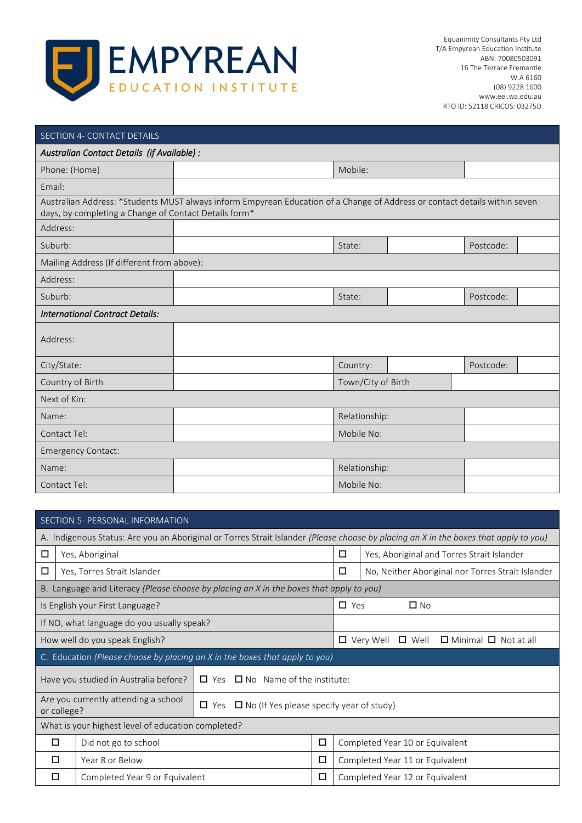

| SECTION 4- CONTACT DETAILS                            |                                                                                                                            |                    |           |  |
|-------------------------------------------------------|----------------------------------------------------------------------------------------------------------------------------|--------------------|-----------|--|
| Australian Contact Details (if Available) :           |                                                                                                                            |                    |           |  |
| Phone: (Home)                                         |                                                                                                                            | Mobile:            |           |  |
| Email:                                                |                                                                                                                            |                    |           |  |
| days, by completing a Change of Contact Details form* | Australian Address: *Students MUST always inform Empyrean Education of a Change of Address or contact details within seven |                    |           |  |
| Address:                                              |                                                                                                                            |                    |           |  |
| Suburb:                                               |                                                                                                                            | State:             | Postcode: |  |
| Mailing Address (If different from above):            |                                                                                                                            |                    |           |  |
| Address:                                              |                                                                                                                            |                    |           |  |
| Suburb:                                               |                                                                                                                            | State:             | Postcode: |  |
| <b>International Contract Details:</b>                |                                                                                                                            |                    |           |  |
| Address:                                              |                                                                                                                            |                    |           |  |
| City/State:                                           |                                                                                                                            | Country:           | Postcode: |  |
| Country of Birth                                      |                                                                                                                            | Town/City of Birth |           |  |
| Next of Kin:                                          |                                                                                                                            |                    |           |  |
| Name:                                                 |                                                                                                                            | Relationship:      |           |  |
| Contact Tel:                                          |                                                                                                                            | Mobile No:         |           |  |
| <b>Emergency Contact:</b>                             |                                                                                                                            |                    |           |  |
| Name:                                                 |                                                                                                                            | Relationship:      |           |  |
| Contact Tel:                                          |                                                                                                                            | Mobile No:         |           |  |

|                                            | SECTION 5- PERSONAL INFORMATION                                                                                      |                                                    |                                                                                         |   |                                                                        |                                                                                                                                      |  |
|--------------------------------------------|----------------------------------------------------------------------------------------------------------------------|----------------------------------------------------|-----------------------------------------------------------------------------------------|---|------------------------------------------------------------------------|--------------------------------------------------------------------------------------------------------------------------------------|--|
|                                            |                                                                                                                      |                                                    |                                                                                         |   |                                                                        | A. Indigenous Status: Are you an Aboriginal or Torres Strait Islander (Please choose by placing an X in the boxes that apply to you) |  |
| □                                          |                                                                                                                      | Yes, Aboriginal                                    |                                                                                         |   | □                                                                      | Yes, Aboriginal and Torres Strait Islander                                                                                           |  |
| □                                          |                                                                                                                      | Yes, Torres Strait Islander                        |                                                                                         |   | □                                                                      | No, Neither Aboriginal nor Torres Strait Islander                                                                                    |  |
|                                            |                                                                                                                      |                                                    | B. Language and Literacy (Please choose by placing an X in the boxes that apply to you) |   |                                                                        |                                                                                                                                      |  |
|                                            |                                                                                                                      | Is English your First Language?                    |                                                                                         |   | $\Box$ Yes                                                             | $\square$ No                                                                                                                         |  |
| If NO, what language do you usually speak? |                                                                                                                      |                                                    |                                                                                         |   |                                                                        |                                                                                                                                      |  |
|                                            |                                                                                                                      | How well do you speak English?                     |                                                                                         |   | $\Box$ Very Well<br>$\square$ Well<br>$\Box$ Minimal $\Box$ Not at all |                                                                                                                                      |  |
|                                            |                                                                                                                      |                                                    | C. Education (Please choose by placing an X in the boxes that apply to you)             |   |                                                                        |                                                                                                                                      |  |
|                                            |                                                                                                                      | Have you studied in Australia before?              | $\Box$ Yes $\Box$ No Name of the institute:                                             |   |                                                                        |                                                                                                                                      |  |
|                                            | Are you currently attending a school<br>$\Box$ No (If Yes please specify year of study)<br>$\Box$ Yes<br>or college? |                                                    |                                                                                         |   |                                                                        |                                                                                                                                      |  |
|                                            |                                                                                                                      | What is your highest level of education completed? |                                                                                         |   |                                                                        |                                                                                                                                      |  |
| $\Box$                                     |                                                                                                                      | Did not go to school<br>□                          |                                                                                         |   | Completed Year 10 or Equivalent                                        |                                                                                                                                      |  |
| □                                          |                                                                                                                      | Year 8 or Below<br>□                               |                                                                                         |   | Completed Year 11 or Equivalent                                        |                                                                                                                                      |  |
| □                                          |                                                                                                                      | Completed Year 9 or Equivalent                     |                                                                                         | □ |                                                                        | Completed Year 12 or Equivalent                                                                                                      |  |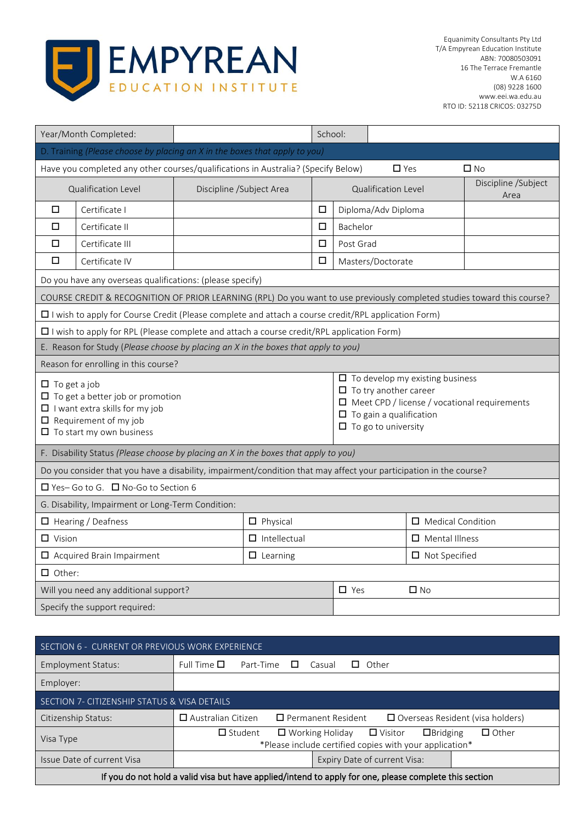

| Year/Month Completed:                                                                                                                                                      |                          | School: |                     |                                                                                              |                                        |                                                     |
|----------------------------------------------------------------------------------------------------------------------------------------------------------------------------|--------------------------|---------|---------------------|----------------------------------------------------------------------------------------------|----------------------------------------|-----------------------------------------------------|
| D. Training (Please choose by placing an X in the boxes that apply to you)                                                                                                 |                          |         |                     |                                                                                              |                                        |                                                     |
| Have you completed any other courses/qualifications in Australia? (Specify Below)                                                                                          |                          |         |                     | $\Box$ Yes                                                                                   |                                        | $\square$ No                                        |
| Qualification Level                                                                                                                                                        | Discipline /Subject Area |         | Qualification Level |                                                                                              |                                        | Discipline /Subject<br>Area                         |
| □<br>Certificate I                                                                                                                                                         |                          | □       |                     | Diploma/Adv Diploma                                                                          |                                        |                                                     |
| п<br>Certificate II                                                                                                                                                        |                          | □       | Bachelor            |                                                                                              |                                        |                                                     |
| □<br>Certificate III                                                                                                                                                       |                          | $\Box$  | Post Grad           |                                                                                              |                                        |                                                     |
| □<br>Certificate IV                                                                                                                                                        |                          | □       |                     | Masters/Doctorate                                                                            |                                        |                                                     |
| Do you have any overseas qualifications: (please specify)                                                                                                                  |                          |         |                     |                                                                                              |                                        |                                                     |
| COURSE CREDIT & RECOGNITION OF PRIOR LEARNING (RPL) Do you want to use previously completed studies toward this course?                                                    |                          |         |                     |                                                                                              |                                        |                                                     |
| $\Box$ I wish to apply for Course Credit (Please complete and attach a course credit/RPL application Form)                                                                 |                          |         |                     |                                                                                              |                                        |                                                     |
| $\square$ I wish to apply for RPL (Please complete and attach a course credit/RPL application Form)                                                                        |                          |         |                     |                                                                                              |                                        |                                                     |
| E. Reason for Study (Please choose by placing an X in the boxes that apply to you)                                                                                         |                          |         |                     |                                                                                              |                                        |                                                     |
| Reason for enrolling in this course?                                                                                                                                       |                          |         |                     |                                                                                              |                                        |                                                     |
| $\Box$ To get a job<br>$\Box$ To get a better job or promotion<br>$\Box$ I want extra skills for my job<br>$\Box$ Requirement of my job<br>$\Box$ To start my own business |                          |         |                     | $\Box$ To try another career<br>$\Box$ To gain a qualification<br>$\Box$ To go to university | $\Box$ To develop my existing business | $\Box$ Meet CPD / license / vocational requirements |
| F. Disability Status (Please choose by placing an X in the boxes that apply to you)                                                                                        |                          |         |                     |                                                                                              |                                        |                                                     |
| Do you consider that you have a disability, impairment/condition that may affect your participation in the course?                                                         |                          |         |                     |                                                                                              |                                        |                                                     |
| □ Yes-Go to G. □ No-Go to Section 6                                                                                                                                        |                          |         |                     |                                                                                              |                                        |                                                     |
| G. Disability, Impairment or Long-Term Condition:                                                                                                                          |                          |         |                     |                                                                                              |                                        |                                                     |
| $\Box$ Hearing / Deafness                                                                                                                                                  | $\Box$ Physical          |         |                     |                                                                                              | $\Box$ Medical Condition               |                                                     |
| $\Box$ Vision                                                                                                                                                              | $\Box$ Intellectual      |         |                     |                                                                                              | $\Box$ Mental Illness                  |                                                     |
| Acquired Brain Impairment                                                                                                                                                  | $\Box$ Learning          |         |                     |                                                                                              | $\Box$ Not Specified                   |                                                     |
| $\Box$ Other:                                                                                                                                                              |                          |         |                     |                                                                                              |                                        |                                                     |
| Will you need any additional support?                                                                                                                                      |                          |         | $\Box$ Yes          |                                                                                              | $\square$ No                           |                                                     |
| Specify the support required:                                                                                                                                              |                          |         |                     |                                                                                              |                                        |                                                     |

| SECTION 6 - CURRENT OR PREVIOUS WORK EXPERIENCE                                                        |                                                                                                                                                       |  |  |  |  |
|--------------------------------------------------------------------------------------------------------|-------------------------------------------------------------------------------------------------------------------------------------------------------|--|--|--|--|
| Employment Status:                                                                                     | Full Time $\square$<br>Part-Time<br>$\Box$ Other<br>Casual<br>$\Box$                                                                                  |  |  |  |  |
| Employer:                                                                                              |                                                                                                                                                       |  |  |  |  |
| SECTION 7- CITIZENSHIP STATUS & VISA DETAILS                                                           |                                                                                                                                                       |  |  |  |  |
| Citizenship Status:                                                                                    | $\Box$ Australian Citizen<br>$\Box$ Permanent Resident<br>$\Box$ Overseas Resident (visa holders)                                                     |  |  |  |  |
| Visa Type                                                                                              | $\Box$ Working Holiday $\Box$ Visitor<br>$\Box$ Student<br>$\Box$ Bridging<br>$\Box$ Other<br>*Please include certified copies with your application* |  |  |  |  |
| Issue Date of current Visa                                                                             | Expiry Date of current Visa:                                                                                                                          |  |  |  |  |
| If you do not hold a valid visa but have applied/intend to apply for one, please complete this section |                                                                                                                                                       |  |  |  |  |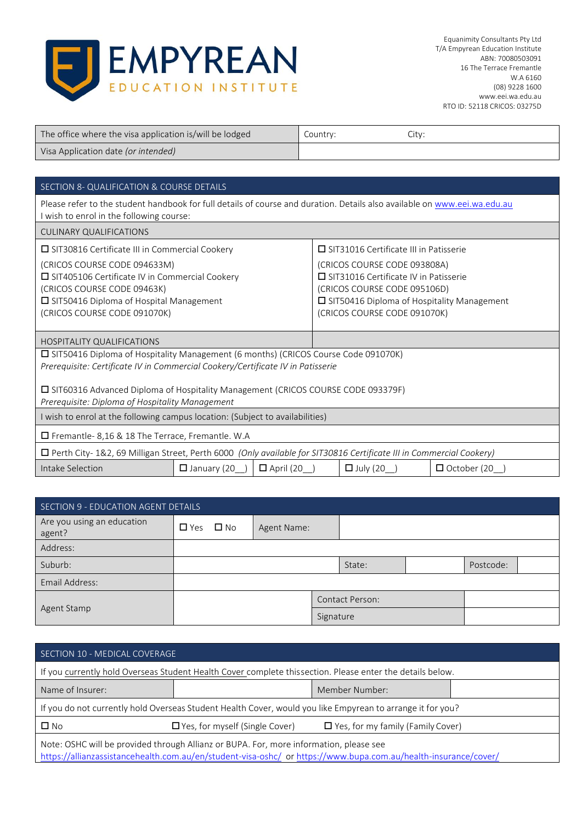

| The office where the visa application is/will be lodged | Country: | Citv: |
|---------------------------------------------------------|----------|-------|
| Visa Application date (or intended)                     |          |       |

### SECTION 8- QUALIFICATION & COURSE DETAILS Please refer to the student handbook for full details of course and duration. Details also available o[n www.eei.wa.edu.au](http://www.eei.wa.edu.au/) I wish to enrol in the following course: CULINARY QUALIFICATIONS  $\square$  SIT30816 Certificate III in Commercial Cookery (CRICOS COURSE CODE 094633M) ■ SIT405106 Certificate IV in Commercial Cookery (CRICOS COURSE CODE 09463K) SIT50416 Diploma of Hospital Management (CRICOS COURSE CODE 091070K) □ SIT31016 Certificate III in Patisserie (CRICOS COURSE CODE 093808A) □ SIT31016 Certificate IV in Patisserie (CRICOS COURSE CODE 095106D) □ SIT50416 Diploma of Hospitality Management (CRICOS COURSE CODE 091070K) HOSPITALITY QUALIFICATIONS SIT50416 Diploma of Hospitality Management (6 months) (CRICOS Course Code 091070K) *Prerequisite: Certificate IV in Commercial Cookery/Certificate IV in Patisserie*  SIT60316 Advanced Diploma of Hospitality Management (CRICOS COURSE CODE 093379F) *Prerequisite: Diploma of Hospitality Management*  I wish to enrol at the following campus location: (Subject to availabilities) Fremantle- 8,16 & 18 The Terrace, Fremantle. W.A Perth City- 1&2, 69 Milligan Street, Perth 6000 *(Only available for SIT30816 Certificate III in Commercial Cookery)* Intake Selection  $\Box$  January (20\_)  $\Box$  April (20\_)  $\Box$  July (20\_)  $\Box$  October (20\_)

| SECTION 9 - EDUCATION AGENT DETAILS  |                      |  |             |  |                        |  |           |  |
|--------------------------------------|----------------------|--|-------------|--|------------------------|--|-----------|--|
| Are you using an education<br>agent? | $\Box$ Yes $\Box$ No |  | Agent Name: |  |                        |  |           |  |
| Address:                             |                      |  |             |  |                        |  |           |  |
| Suburb:                              |                      |  |             |  | State:                 |  | Postcode: |  |
| Email Address:                       |                      |  |             |  |                        |  |           |  |
|                                      |                      |  |             |  | <b>Contact Person:</b> |  |           |  |
| Agent Stamp                          |                      |  | Signature   |  |                        |  |           |  |

| SECTION 10 - MEDICAL COVERAGE                                                                              |                                       |                                          |  |  |
|------------------------------------------------------------------------------------------------------------|---------------------------------------|------------------------------------------|--|--|
| If you currently hold Overseas Student Health Cover complete this section. Please enter the details below. |                                       |                                          |  |  |
| Name of Insurer:                                                                                           |                                       | Member Number:                           |  |  |
| If you do not currently hold Overseas Student Health Cover, would you like Empyrean to arrange it for you? |                                       |                                          |  |  |
| $\square$ No                                                                                               | $\Box$ Yes, for myself (Single Cover) | $\Box$ Yes, for my family (Family Cover) |  |  |
| Note: OSHC will be provided through Allianz or BUPA. For, more information, please see                     |                                       |                                          |  |  |

<https://allianzassistancehealth.com.au/en/student-visa-oshc/>o[r https://www.bupa.com.au/health-insurance/cover/](https://www.bupa.com.au/health-insurance/cover/)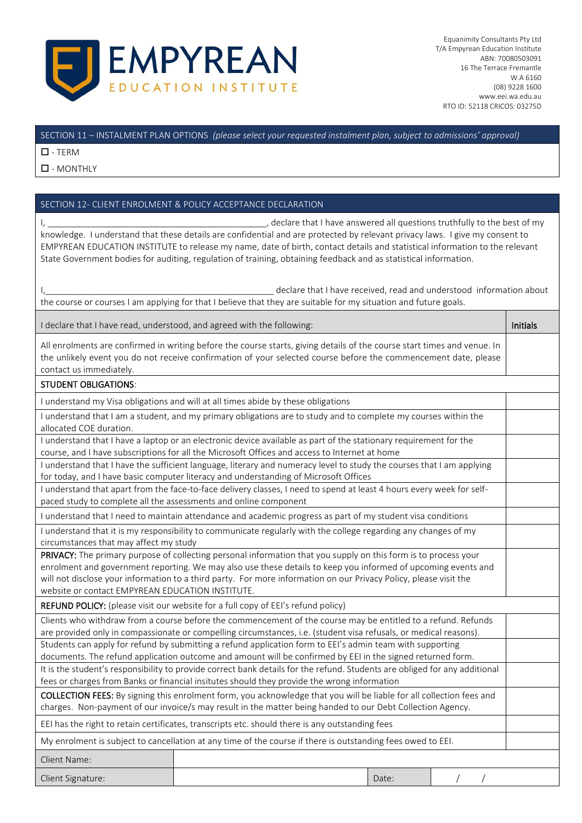

#### SECTION 11 – INSTALMENT PLAN OPTIONS *(please select your requested instalment plan, subject to admissions' approval)*

 $\square$  - TERM

 $\square$  - MONTHLY

#### SECTION 12- CLIENT ENROLMENT & POLICY ACCEPTANCE DECLARATION

I, the last of my contained all questions truthfully to the best of my contained all questions truthfully to the best of my knowledge. I understand that these details are confidential and are protected by relevant privacy laws. I give my consent to EMPYREAN EDUCATION INSTITUTE to release my name, date of birth, contact details and statistical information to the relevant State Government bodies for auditing, regulation of training, obtaining feedback and as statistical information.

I, The same of the state of the state of the declare that I have received, read and understood information about the course or courses I am applying for that I believe that they are suitable for my situation and future goals.

I declare that I have read, understood, and agreed with the following: Initials and the initials of the initials

All enrolments are confirmed in writing before the course starts, giving details of the course start times and venue. In the unlikely event you do not receive confirmation of your selected course before the commencement date, please contact us immediately.

#### STUDENT OBLIGATIONS:

I understand my Visa obligations and will at all times abide by these obligations

| I understand that I am a student, and my primary obligations are to study and to complete my courses within the   |  |
|-------------------------------------------------------------------------------------------------------------------|--|
| allocated COE duration.                                                                                           |  |
| I understand that I have a laptop or an electronic device available as part of the stationary requirement for the |  |
| course, and I have subscriptions for all the Microsoft Offices and access to Internet at home                     |  |

I understand that I have the sufficient language, literary and numeracy level to study the courses that I am applying for today, and I have basic computer literacy and understanding of Microsoft Offices

I understand that apart from the face-to-face delivery classes, I need to spend at least 4 hours every week for selfpaced study to complete all the assessments and online component

I understand that I need to maintain attendance and academic progress as part of my student visa conditions

I understand that it is my responsibility to communicate regularly with the college regarding any changes of my circumstances that may affect my study

PRIVACY: The primary purpose of collecting personal information that you supply on this form is to process your enrolment and government reporting. We may also use these details to keep you informed of upcoming events and will not disclose your information to a third party. For more information on our Privacy Policy, please visit the website or contact EMPYREAN EDUCATION INSTITUTE.

REFUND POLICY: (please visit our website for a full copy of EEI's refund policy)

| Clients who withdraw from a course before the commencement of the course may be entitled to a refund. Refunds               |                                                                                                                   |  |  |  |  |
|-----------------------------------------------------------------------------------------------------------------------------|-------------------------------------------------------------------------------------------------------------------|--|--|--|--|
|                                                                                                                             | are provided only in compassionate or compelling circumstances, i.e. (student visa refusals, or medical reasons). |  |  |  |  |
|                                                                                                                             | Students can apply for refund by submitting a refund application form to EEI's admin team with supporting         |  |  |  |  |
|                                                                                                                             | documents. The refund application outcome and amount will be confirmed by EEI in the signed returned form.        |  |  |  |  |
| It is the student's responsibility to provide correct bank details for the refund. Students are obliged for any additional  |                                                                                                                   |  |  |  |  |
| fees or charges from Banks or financial insitutes should they provide the wrong information                                 |                                                                                                                   |  |  |  |  |
| <b>COLLECTION FEES:</b> By signing this enrolment form, you acknowledge that you will be liable for all collection fees and |                                                                                                                   |  |  |  |  |
| charges. Non-payment of our invoice/s may result in the matter being handed to our Debt Collection Agency.                  |                                                                                                                   |  |  |  |  |
| EEI has the right to retain certificates, transcripts etc. should there is any outstanding fees                             |                                                                                                                   |  |  |  |  |
| My enrolment is subject to cancellation at any time of the course if there is outstanding fees owed to EEI.                 |                                                                                                                   |  |  |  |  |
| Client Name:                                                                                                                |                                                                                                                   |  |  |  |  |
|                                                                                                                             |                                                                                                                   |  |  |  |  |

Client Signature: **Date:** *Date: Date: Date: Date: Date: Date: Date: Date: Date: Date: Date: Date: Date: Date: Date: Date: Date: Date: Date: Date: Date: Date: Date: Date: Dat*